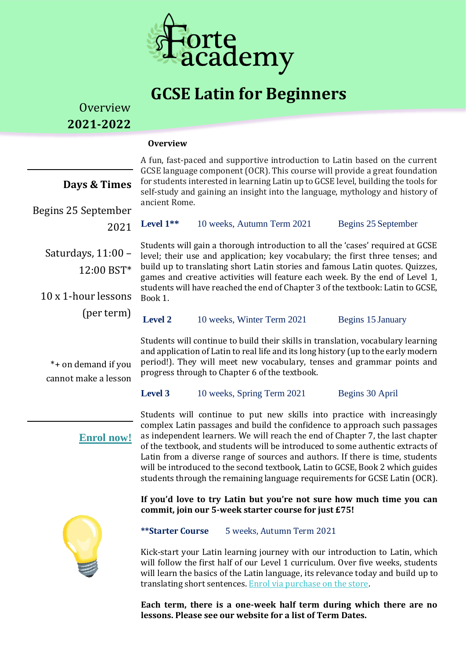

# **GCSE Latin for Beginners**

**Overview 2021-2022**

#### **Overview**

|                                                         |                                                                                                                                                                                                                                                                                                                                                                                                                                | A fun, fast-paced and supportive introduction to Latin based on the current |                     |  |
|---------------------------------------------------------|--------------------------------------------------------------------------------------------------------------------------------------------------------------------------------------------------------------------------------------------------------------------------------------------------------------------------------------------------------------------------------------------------------------------------------|-----------------------------------------------------------------------------|---------------------|--|
| Days & Times                                            | GCSE language component (OCR). This course will provide a great foundation<br>for students interested in learning Latin up to GCSE level, building the tools for<br>self-study and gaining an insight into the language, mythology and history of<br>ancient Rome.                                                                                                                                                             |                                                                             |                     |  |
| Begins 25 September<br>2021                             | Level 1**                                                                                                                                                                                                                                                                                                                                                                                                                      | 10 weeks, Autumn Term 2021                                                  | Begins 25 September |  |
| Saturdays, 11:00 -<br>12:00 BST*<br>10 x 1-hour lessons | Students will gain a thorough introduction to all the 'cases' required at GCSE<br>level; their use and application; key vocabulary; the first three tenses; and<br>build up to translating short Latin stories and famous Latin quotes. Quizzes,<br>games and creative activities will feature each week. By the end of Level 1,<br>students will have reached the end of Chapter 3 of the textbook: Latin to GCSE,<br>Book 1. |                                                                             |                     |  |
| (per term)                                              | <b>Level 2</b>                                                                                                                                                                                                                                                                                                                                                                                                                 | 10 weeks, Winter Term 2021                                                  | Begins 15 January   |  |
| *+ on demand if you<br>cannot make a lesson             | Students will continue to build their skills in translation, vocabulary learning<br>and application of Latin to real life and its long history (up to the early modern<br>period!). They will meet new vocabulary, tenses and grammar points and<br>progress through to Chapter 6 of the textbook.<br><b>Level 3</b><br>10 weeks, Spring Term 2021<br>Begins 30 April                                                          |                                                                             |                     |  |
|                                                         |                                                                                                                                                                                                                                                                                                                                                                                                                                |                                                                             |                     |  |

# **Enrol now!**

Students will continue to put new skills into practice with increasingly complex Latin passages and build the confidence to approach such passages as independent learners. We will reach the end of Chapter 7, the last chapter of the textbook, and students will be introduced to some authentic extracts of Latin from a diverse range of sources and authors. If there is time, students will be introduced to the second textbook, Latin to GCSE, Book 2 which guides students through the remaining language requirements for GCSE Latin (OCR).

**If you'd love to try Latin but you're not sure how much time you can commit, join our 5-week starter course for just £75!** 



### **\*\*Starter Course** 5 weeks, Autumn Term 2021

Kick-start your Latin learning journey with our introduction to Latin, which will follow the first half of our Level 1 curriculum. Over five weeks, students will learn the basics of the Latin language, its relevance today and build up to translating short sentences. [Enrol via purchase on the store.](http://www.forte-academy.co.uk/store)

**Each term, there is a one-week half term during which there are no lessons. Please see our website for a list of Term Dates.**